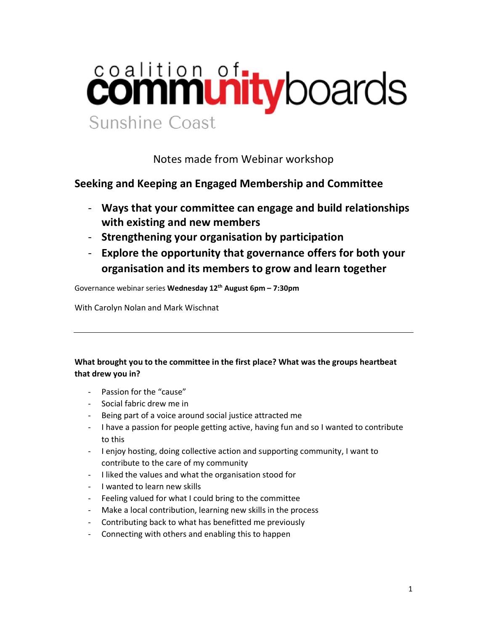# coalition of tyboards Sunshine Coast

Notes made from Webinar workshop

Seeking and Keeping an Engaged Membership and Committee

- Ways that your committee can engage and build relationships with existing and new members
- Strengthening your organisation by participation
- Explore the opportunity that governance offers for both your organisation and its members to grow and learn together

Governance webinar series Wednesday 12<sup>th</sup> August 6pm - 7:30pm

With Carolyn Nolan and Mark Wischnat

What brought you to the committee in the first place? What was the groups heartbeat that drew you in?

- Passion for the "cause"
- Social fabric drew me in
- Being part of a voice around social justice attracted me
- I have a passion for people getting active, having fun and so I wanted to contribute to this
- I enjoy hosting, doing collective action and supporting community, I want to contribute to the care of my community
- I liked the values and what the organisation stood for
- I wanted to learn new skills
- Feeling valued for what I could bring to the committee
- Make a local contribution, learning new skills in the process
- Contributing back to what has benefitted me previously
- Connecting with others and enabling this to happen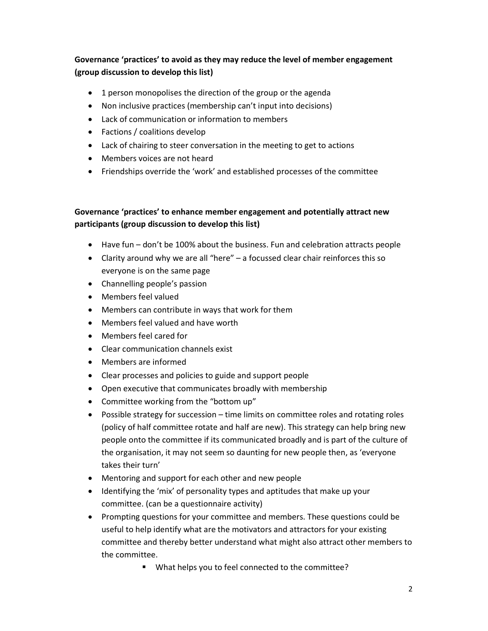# Governance 'practices' to avoid as they may reduce the level of member engagement (group discussion to develop this list)

- 1 person monopolises the direction of the group or the agenda
- Non inclusive practices (membership can't input into decisions)
- Lack of communication or information to members
- Factions / coalitions develop
- Lack of chairing to steer conversation in the meeting to get to actions
- Members voices are not heard
- Friendships override the 'work' and established processes of the committee

# Governance 'practices' to enhance member engagement and potentially attract new participants (group discussion to develop this list)

- Have fun don't be 100% about the business. Fun and celebration attracts people
- Clarity around why we are all "here" a focussed clear chair reinforces this so everyone is on the same page
- Channelling people's passion
- Members feel valued
- Members can contribute in ways that work for them
- Members feel valued and have worth
- Members feel cared for
- Clear communication channels exist
- Members are informed
- Clear processes and policies to guide and support people
- Open executive that communicates broadly with membership
- Committee working from the "bottom up"
- Possible strategy for succession time limits on committee roles and rotating roles (policy of half committee rotate and half are new). This strategy can help bring new people onto the committee if its communicated broadly and is part of the culture of the organisation, it may not seem so daunting for new people then, as 'everyone takes their turn'
- Mentoring and support for each other and new people
- Identifying the 'mix' of personality types and aptitudes that make up your committee. (can be a questionnaire activity)
- Prompting questions for your committee and members. These questions could be useful to help identify what are the motivators and attractors for your existing committee and thereby better understand what might also attract other members to the committee.
	- What helps you to feel connected to the committee?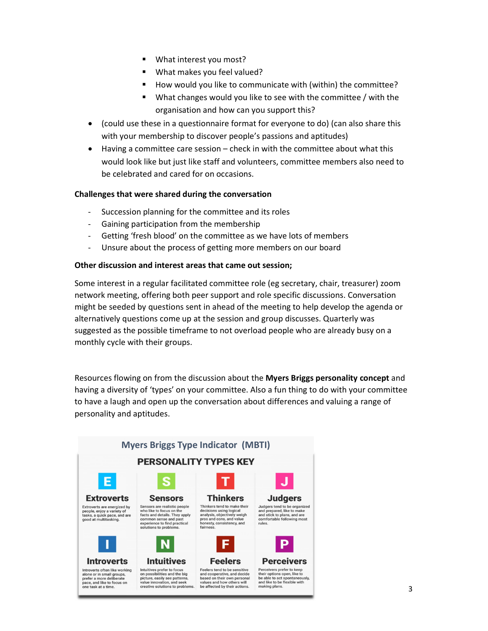- What interest you most?
- What makes you feel valued?
- How would you like to communicate with (within) the committee?
- What changes would you like to see with the committee / with the organisation and how can you support this?
- (could use these in a questionnaire format for everyone to do) (can also share this with your membership to discover people's passions and aptitudes)
- Having a committee care session check in with the committee about what this would look like but just like staff and volunteers, committee members also need to be celebrated and cared for on occasions.

### Challenges that were shared during the conversation

- 
- 
- Succession planning for the committee and its roles<br>- Gaining participation from the membership<br>- Getting 'fresh blood' on the committee as we have lots of members<br>- Unsure about the process of getting more members on ou
- 

#### Other discussion and interest areas that came out session;

Some interest in a regular facilitated committee role (eg secretary, chair, treasurer) zoom network meeting, offering both peer support and role specific discussions. Conversation might be seeded by questions sent in ahead of the meeting to help develop the agenda or alternatively questions come up at the session and group discusses. Quarterly was suggested as the possible timeframe to not overload people who are already busy on a monthly cycle with their groups.

Resources flowing on from the discussion about the Myers Briggs personality concept and having a diversity of 'types' on your committee. Also a fun thing to do with your committee to have a laugh and open up the conversation about differences and valuing a range of personality and aptitudes.